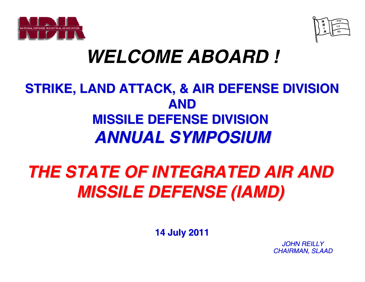



# *WELCOME ABOARD !*

## **STRIKE, LAND ATTACK, & AIR DEFENSE DIVISION STRIKE, LAND ATTACK, & AIR DEFENSE DIVISION AND MISSILE DEFENSE DIVISION MISSILE DEFENSE DIVISION**  *ANNUAL SYMPOSIUM ANNUAL SYMPOSIUM*

# *THE STATE OF INTEGRATED AIR AND THE STATE OF INTEGRATED AIR AND MISSILE DEFENSE (IAMD) MISSILE DEFENSE (IAMD)*

**14 July 2011 14 July 2011**

*JOHN REILLYCHAIRMAN, SLAAD*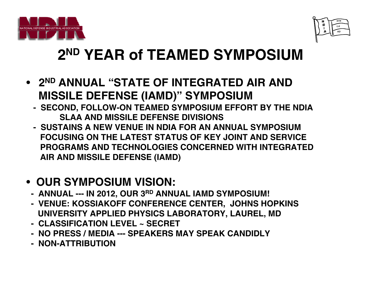



# **2ND YEAR of TEAMED SYMPOSIUM**

- **2ND ANNUAL "STATE OF INTEGRATED AIR AND MISSILE DEFENSE (IAMD)" SYMPOSIUM**
	- **- SECOND, FOLLOW-ON TEAMED SYMPOSIUM EFFORT BY THE NDIA SLAA AND MISSILE DEFENSE DIVISIONS**
	- **- SUSTAINS A NEW VENUE IN NDIA FOR AN ANNUAL SYMPOSIUMFOCUSING ON THE LATEST STATUS OF KEY JOINT AND SERVICE PROGRAMS AND TECHNOLOGIES CONCERNED WITH INTEGRATEDAIR AND MISSILE DEFENSE (IAMD)**

#### • **OUR SYMPOSIUM VISION:**

- **- ANNUAL --- IN 2012, OUR 3RD ANNUAL IAMD SYMPOSIUM!**
- **- VENUE: KOSSIAKOFF CONFERENCE CENTER, JOHNS HOPKINS UNIVERSITY APPLIED PHYSICS LABORATORY, LAUREL, MD**
- **- CLASSIFICATION LEVEL ~ SECRET**
- **- NO PRESS / MEDIA --- SPEAKERS MAY SPEAK CANDIDLY**
- **- NON-ATTRIBUTION**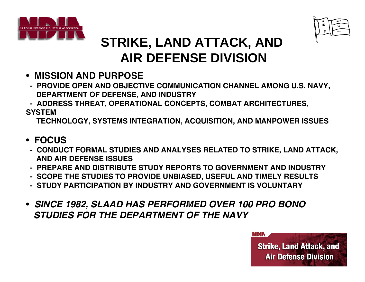



## **STRIKE, LAND ATTACK, AND AIR DEFENSE DIVISION**

- **MISSION AND PURPOSE**
- **- PROVIDE OPEN AND OBJECTIVE COMMUNICATION CHANNEL AMONG U.S. NAVY, DEPARTMENT OF DEFENSE, AND INDUSTRY**
- **- ADDRESS THREAT, OPERATIONAL CONCEPTS, COMBAT ARCHITECTURES,**

**SYSTEM**

**TECHNOLOGY, SYSTEMS INTEGRATION, ACQUISITION, AND MANPOWER ISSUES**

- **FOCUS**
- **- CONDUCT FORMAL STUDIES AND ANALYSES RELATED TO STRIKE, LAND ATTACK, AND AIR DEFENSE ISSUES**
- **- PREPARE AND DISTRIBUTE STUDY REPORTS TO GOVERNMENT AND INDUSTRY**
- **- SCOPE THE STUDIES TO PROVIDE UNBIASED, USEFUL AND TIMELY RESULTS**
- **- STUDY PARTICIPATION BY INDUSTRY AND GOVERNMENT IS VOLUNTARY**
- *SINCE 1982, SLAAD HAS PERFORMED OVER 100 PRO BONO STUDIES FOR THE DEPARTMENT OF THE NAVY*